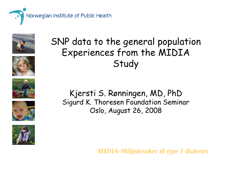











SNP data to the general population Experiences from the MIDIA **Study** 

Kjersti S. Rønningen, MD, PhD Sigurd K. Thoresen Foundation Seminar Oslo, August 26, 2008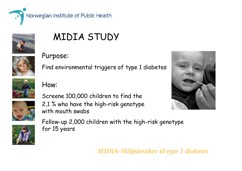

# MIDIA STUDY

#### Purpose:



Find environmental triggers of type 1 diabetes

Screene 100,000 children to find the

2,1 % who have the high-risk genotype



#### How:





with mouth swabs Follow-up 2,000 children with the high-risk genotype for 15 years



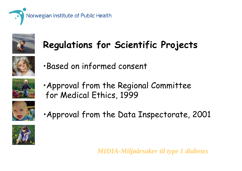



# **Regulations for Scientific Projects**



•Based on informed consent



•Approval from the Regional Committee for Medical Ethics, 1999



•Approval from the Data Inspectorate, 2001

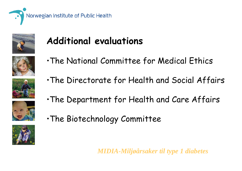



## **Additional evaluations**

- •The National Committee for Medical Ethics
- •The Directorate for Health and Social Affairs

•The Department for Health and Care Affairs





•The Biotechnology Committee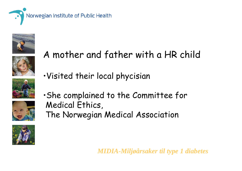











•Visited their local phycisian

A mother and father with a HR child

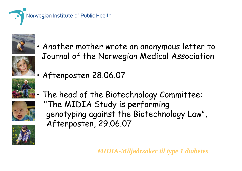

Aftenposten 28.06.07



• Another mother wrote an anonymous letter to Journal of the Norwegian Medical Association



•

•





 The head of the Biotechnology Committee: "The MIDIA Study is performing genotyping against the Biotechnology Law", Aftenposten, 29.06.07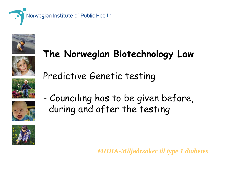

# **The Norwegian Biotechnology Law**



Predictive Genetic testing





-- Counciling has to be given before, during and after the testing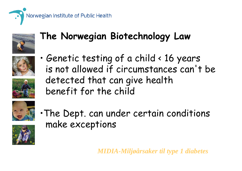



## **The Norwegian Biotechnology Law**





• Genetic testing of a child < 16 years is not allowed if circumstances can't be detected that can give health benefit for the child



•The Dept. can under certain conditions make exceptions

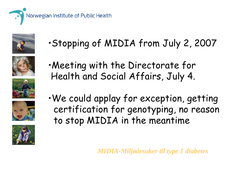











•Stopping of MIDIA from July 2, 2007

- •Meeting with the Directorate for Health and Social Affairs, July 4.
- •We could applay for exception, getting certification for genotyping, no reason to stop MIDIA in the meantime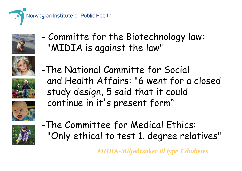



-- Committe for the Biotechnology law: "MIDIA is against the law"







-The National Committe for Social and Health Affairs: "6 went for a closed study design, 5 said that it could continue in it's present form"



-The Committee for Medical Ethics: "Only ethical to test 1. degree relatives"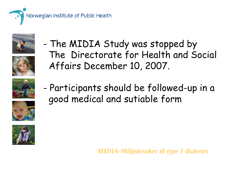



- The MIDIA Study was stopped by The Directorate for Health and Social Affairs December 10, 2007.





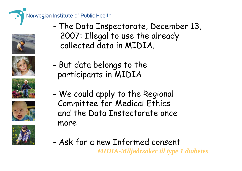









- - The Data Inspectorate, December 13, 2007: Illegal to use the already collected data in MIDIA.
- -- But data belongs to the participants in MIDIA
- - We could apply to the Regional Committee for Medical Ethics and the Data Instectorate once more
- -Ask for a new Informed consent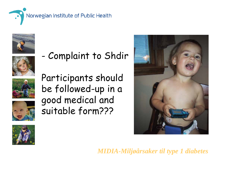



Complaint to Shdir





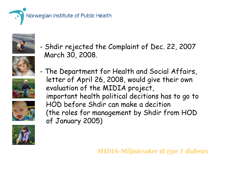



- Shdir rejected the Complaint of Dec. 22, 2007 March 30, 2008.









- The Department for Health and Social Affairs, letter of April 26, 2008, would give their own evaluation of the MIDIA project, important health political decitions has to go to HOD before Shdir can make a decition (the roles for management by Shdir from HOD of January 2005)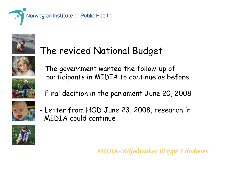



## The reviced National Budget











- Letter from HOD June 23, 2008, research in MIDIA could continue



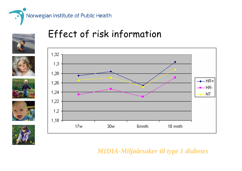

#### Effect of risk information

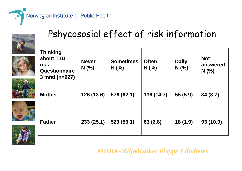

### Pshycososial effect of risk information

| <b>Thinking</b><br>about T1D<br>risk,<br>Questionnaire<br>3 mnd ( $n=927$ ) | <b>Never</b><br>N(% | <b>Sometimes</b><br>$N$ $(\% )$ | <b>Often</b><br>$N$ (%) | <b>Daily</b><br>$N$ (%) | <b>Not</b><br>answered<br>N(% ) |
|-----------------------------------------------------------------------------|---------------------|---------------------------------|-------------------------|-------------------------|---------------------------------|
| <b>Mother</b>                                                               | 126 (13.6)          | 576 (62.1)                      | 136 (14.7)              | 55 (5.9)                | 34(3.7)                         |
| <b>Father</b>                                                               | 233(25.1)           | 520 (56.1)                      | 63 (6.8)                | 18(1.9)                 | 93(10.0)                        |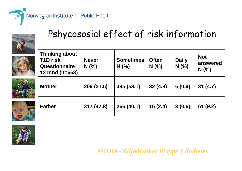

### Pshycososial effect of risk information

|     | <b>Thinking about</b><br>T1D risk,<br>Questionnaire<br>12 $mod(n=663)$ | <b>Never</b><br>N(% ) | <b>Sometimes</b><br>N(% | <b>Often</b><br>N(%) | <b>Daily</b><br>N(% | <b>Not</b><br>answered<br>N(% ) |
|-----|------------------------------------------------------------------------|-----------------------|-------------------------|----------------------|---------------------|---------------------------------|
| 43. | <b>Mother</b>                                                          | 209 (31.5)            | 385 (58.1)              | 32(4.8)              | 6(0.9)              | 31(4.7)                         |
|     | <b>Father</b>                                                          | 317 (47.8)            | 266 (40.1)              | 16(2.4)              | 3(0.5)              | 61(9.2)                         |

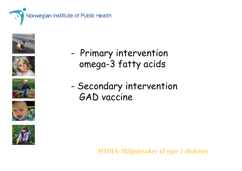











- -- Primary intervention omega-3 fatty acids
- -- Secondary intervention GAD vaccine